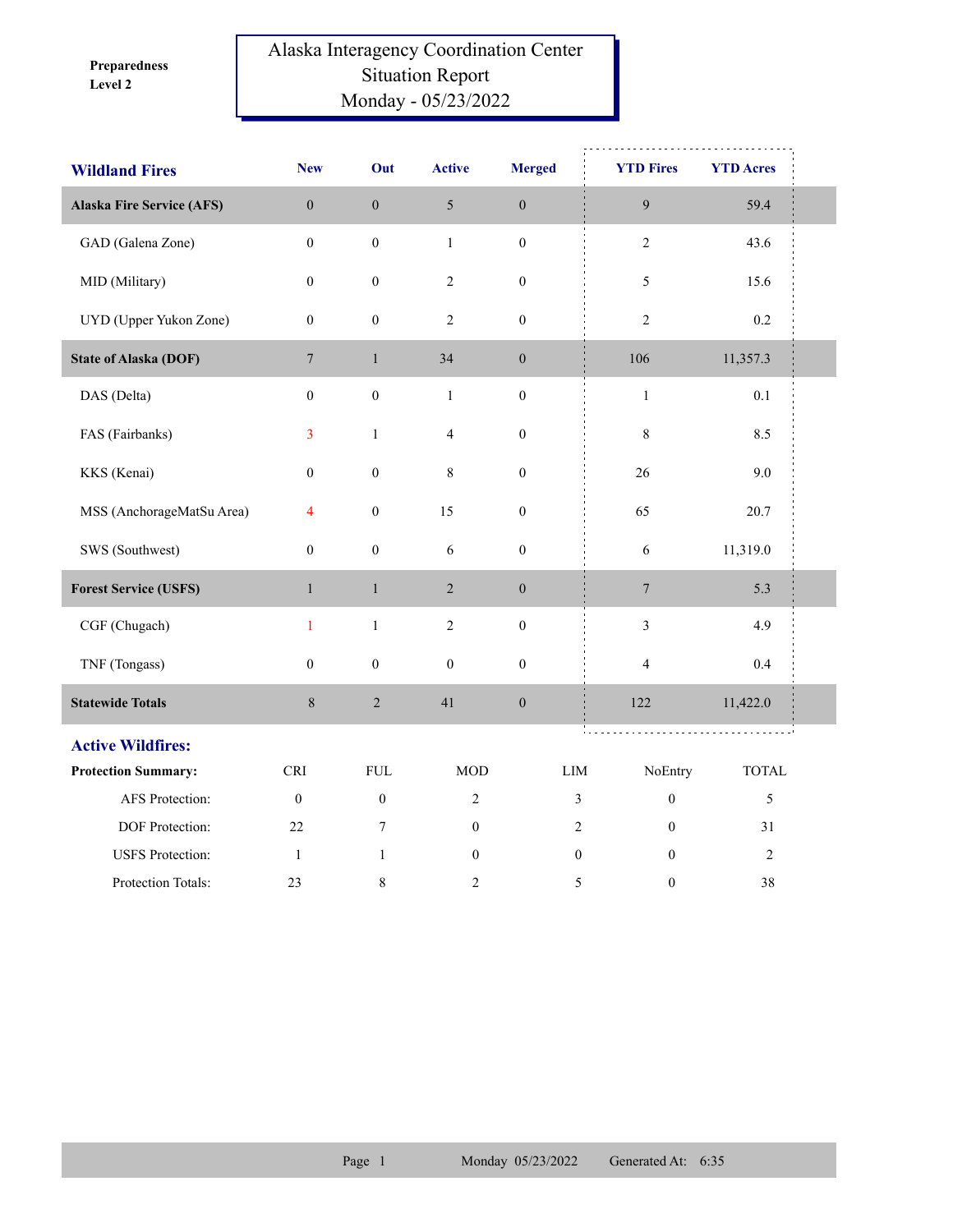**Level 2 Preparedness** 

## Alaska Interagency Coordination Center Situation Report Monday - 05/23/2022

| <b>Wildland Fires</b>            | <b>New</b>       | Out              | <b>Active</b>    | <b>Merged</b>    | <b>YTD Fires</b>                   | <b>YTD Acres</b>   |  |
|----------------------------------|------------------|------------------|------------------|------------------|------------------------------------|--------------------|--|
| <b>Alaska Fire Service (AFS)</b> | $\boldsymbol{0}$ | $\boldsymbol{0}$ | $\sqrt{5}$       | $\boldsymbol{0}$ | $\boldsymbol{9}$                   | 59.4               |  |
| GAD (Galena Zone)                | $\boldsymbol{0}$ | $\boldsymbol{0}$ | $\mathbf{1}$     | $\boldsymbol{0}$ | $\sqrt{2}$                         | 43.6               |  |
| MID (Military)                   | $\boldsymbol{0}$ | $\boldsymbol{0}$ | $\overline{c}$   | $\boldsymbol{0}$ | 5                                  | 15.6               |  |
| UYD (Upper Yukon Zone)           | $\boldsymbol{0}$ | $\boldsymbol{0}$ | $\mathfrak{2}$   | $\boldsymbol{0}$ | $\overline{c}$                     | 0.2                |  |
| <b>State of Alaska (DOF)</b>     | $\overline{7}$   | $\mathbf{1}$     | 34               | $\boldsymbol{0}$ | 106                                | 11,357.3           |  |
| DAS (Delta)                      | $\mathbf{0}$     | $\boldsymbol{0}$ | $\mathbf{1}$     | $\boldsymbol{0}$ | $\,1$                              | 0.1                |  |
| FAS (Fairbanks)                  | 3                | $\mathbf{1}$     | $\overline{4}$   | $\boldsymbol{0}$ | 8                                  | 8.5                |  |
| KKS (Kenai)                      | $\mathbf{0}$     | $\boldsymbol{0}$ | 8                | $\boldsymbol{0}$ | 26                                 | 9.0                |  |
| MSS (AnchorageMatSu Area)        | $\overline{4}$   | $\boldsymbol{0}$ | 15               | $\boldsymbol{0}$ | 65                                 | 20.7               |  |
| SWS (Southwest)                  | $\boldsymbol{0}$ | $\boldsymbol{0}$ | $\epsilon$       | $\boldsymbol{0}$ | $\sqrt{6}$                         | 11,319.0           |  |
| <b>Forest Service (USFS)</b>     | $\mathbf{1}$     | $\mathbf{1}$     | $\overline{2}$   | $\boldsymbol{0}$ | $\overline{7}$                     | 5.3                |  |
| CGF (Chugach)                    | $\mathbf{1}$     | $\,1\,$          | $\sqrt{2}$       | $\boldsymbol{0}$ | $\mathfrak{Z}$                     | 4.9                |  |
| TNF (Tongass)                    | $\boldsymbol{0}$ | $\boldsymbol{0}$ | $\boldsymbol{0}$ | $\boldsymbol{0}$ | $\overline{\mathbf{4}}$            | 0.4                |  |
| <b>Statewide Totals</b>          | $\,8\,$          | $\sqrt{2}$       | 41               | $\boldsymbol{0}$ | 122                                | 11,422.0           |  |
| <b>Active Wildfires:</b>         |                  |                  |                  |                  | .<br>.                             | and a strategic of |  |
| <b>Protection Summary:</b>       | <b>CRI</b>       | <b>FUL</b>       | <b>MOD</b>       | LIM              | NoEntry                            | <b>TOTAL</b>       |  |
| <b>AFS</b> Protection:           | $\boldsymbol{0}$ | $\boldsymbol{0}$ | $\overline{2}$   |                  | $\boldsymbol{0}$<br>$\mathfrak{Z}$ | 5                  |  |
| DOF Protection:                  | 22               | 7                | $\mathbf{0}$     |                  | $\overline{2}$<br>$\Omega$         | 31                 |  |
| <b>USFS</b> Protection:          | $\mathbf{1}$     | $\mathbf{1}$     | $\boldsymbol{0}$ |                  | $\boldsymbol{0}$<br>$\mathbf{0}$   | $\sqrt{2}$         |  |
| Protection Totals:               | 23               | 8                | 2                |                  | 5<br>$\boldsymbol{0}$              | 38                 |  |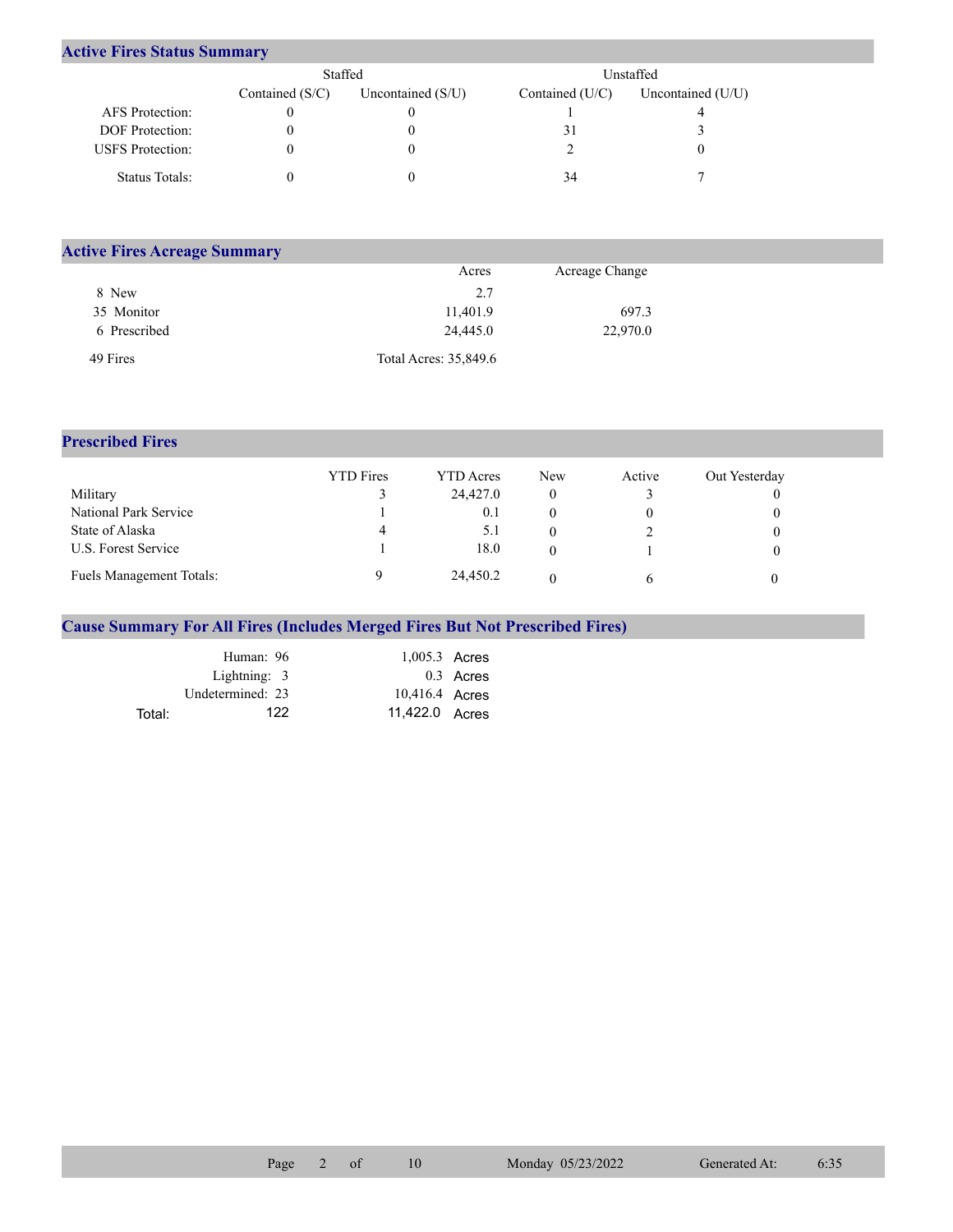## **Active Fires Status Summary**

|                         | Staffed           |                     | Unstaffed       |                   |  |  |
|-------------------------|-------------------|---------------------|-----------------|-------------------|--|--|
|                         | Contained $(S/C)$ | Uncontained $(S/U)$ | Contained (U/C) | Uncontained (U/U) |  |  |
| AFS Protection:         |                   |                     |                 |                   |  |  |
| <b>DOF</b> Protection:  |                   |                     |                 |                   |  |  |
| <b>USFS</b> Protection: |                   |                     |                 |                   |  |  |
| Status Totals:          |                   |                     | 34              |                   |  |  |

| <b>Active Fires Acreage Summary</b> |                       |                |  |
|-------------------------------------|-----------------------|----------------|--|
|                                     | Acres                 | Acreage Change |  |
| 8 New                               | 2.7                   |                |  |
| 35 Monitor                          | 11,401.9              | 697.3          |  |
| 6 Prescribed                        | 24,445.0              | 22,970.0       |  |
| 49 Fires                            | Total Acres: 35,849.6 |                |  |

## **Prescribed Fires**

|                                 | <b>YTD</b> Fires | YTD Acres | New | Active | Out Yesterday |
|---------------------------------|------------------|-----------|-----|--------|---------------|
| Military                        |                  | 24,427.0  |     |        |               |
| National Park Service           |                  | 0.1       |     |        |               |
| State of Alaska                 | 4                | 5. l      |     |        |               |
| U.S. Forest Service             |                  | 18.0      |     |        |               |
| <b>Fuels Management Totals:</b> |                  | 24,450.2  |     |        |               |

## **Cause Summary For All Fires (Includes Merged Fires But Not Prescribed Fires)**

|        | Human: 96        | $1,005.3$ Acres |             |
|--------|------------------|-----------------|-------------|
|        | Lightning: $3$   |                 | $0.3$ Acres |
|        | Undetermined: 23 | 10,416.4 Acres  |             |
| Total: | 122              | 11,422.0 Acres  |             |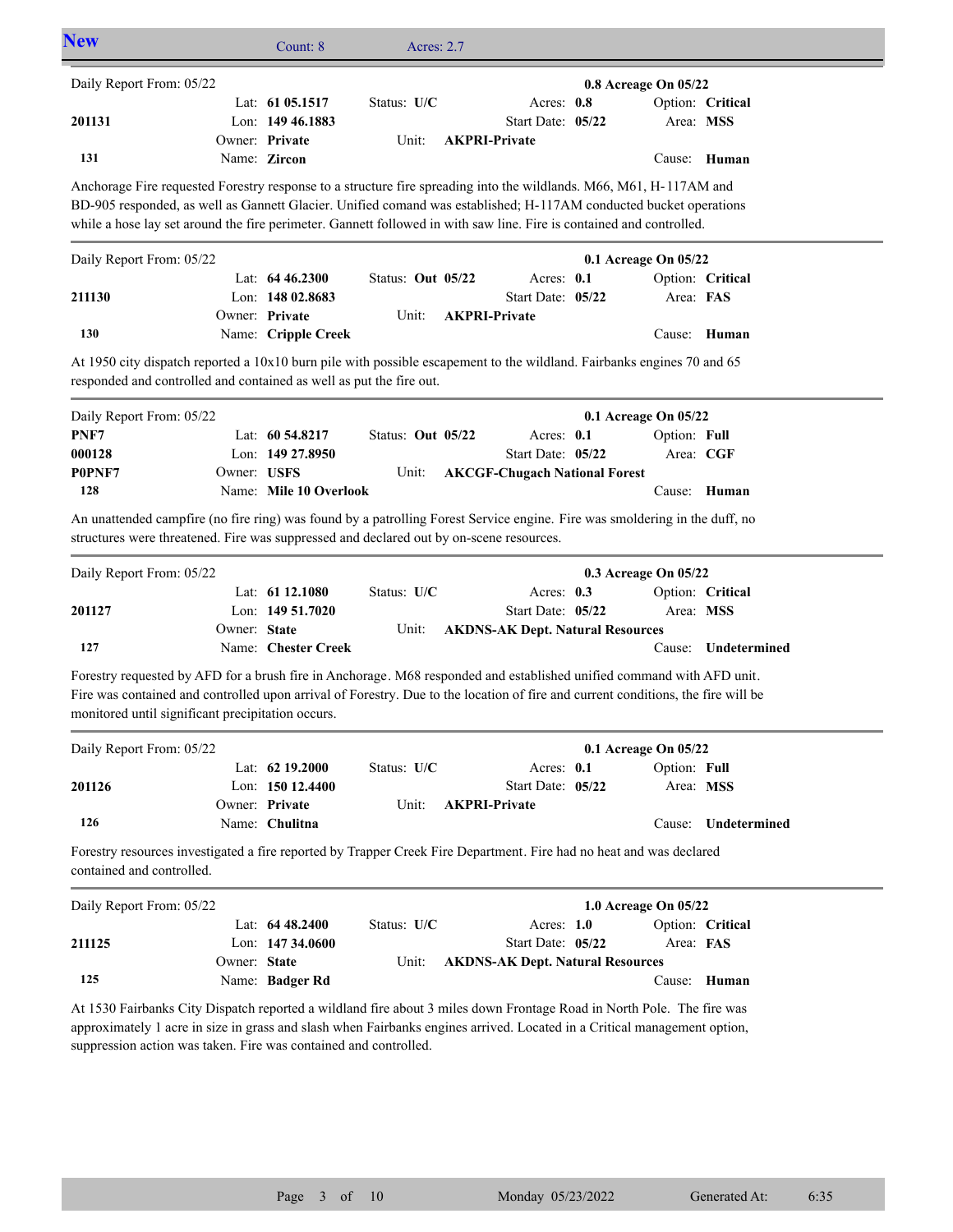| <b>New</b>                                                                                                                                                                                                                                                                                                                                                      |              | Count: 8                                              | Acres: 2.7           |  |                                                         |  |                           |                     |
|-----------------------------------------------------------------------------------------------------------------------------------------------------------------------------------------------------------------------------------------------------------------------------------------------------------------------------------------------------------------|--------------|-------------------------------------------------------|----------------------|--|---------------------------------------------------------|--|---------------------------|---------------------|
| Daily Report From: 05/22                                                                                                                                                                                                                                                                                                                                        |              |                                                       |                      |  |                                                         |  | 0.8 Acreage On 05/22      |                     |
| 201131                                                                                                                                                                                                                                                                                                                                                          |              | Lat: 61 05.1517<br>Lon: 149 46.1883<br>Owner: Private | Status: U/C<br>Unit: |  | Acres: 0.8<br>Start Date: 05/22<br><b>AKPRI-Private</b> |  | Area: MSS                 | Option: Critical    |
| 131                                                                                                                                                                                                                                                                                                                                                             |              | Name: Zircon                                          |                      |  |                                                         |  |                           | Cause: Human        |
| Anchorage Fire requested Forestry response to a structure fire spreading into the wildlands. M66, M61, H-117AM and<br>BD-905 responded, as well as Gannett Glacier. Unified comand was established; H-117AM conducted bucket operations<br>while a hose lay set around the fire perimeter. Gannett followed in with saw line. Fire is contained and controlled. |              |                                                       |                      |  |                                                         |  |                           |                     |
| Daily Report From: 05/22                                                                                                                                                                                                                                                                                                                                        |              |                                                       |                      |  |                                                         |  | 0.1 Acreage On 05/22      |                     |
| 211130                                                                                                                                                                                                                                                                                                                                                          |              | Lat: $6446.2300$<br>Lon: 148 02.8683                  | Status: Out 05/22    |  | Acres: 0.1<br>Start Date: 05/22                         |  | Area: FAS                 | Option: Critical    |
|                                                                                                                                                                                                                                                                                                                                                                 |              | Owner: Private                                        | Unit:                |  | <b>AKPRI-Private</b>                                    |  |                           |                     |
| 130                                                                                                                                                                                                                                                                                                                                                             |              | Name: Cripple Creek                                   |                      |  |                                                         |  | Cause:                    | Human               |
| At 1950 city dispatch reported a 10x10 burn pile with possible escapement to the wildland. Fairbanks engines 70 and 65<br>responded and controlled and contained as well as put the fire out.                                                                                                                                                                   |              |                                                       |                      |  |                                                         |  |                           |                     |
| Daily Report From: 05/22                                                                                                                                                                                                                                                                                                                                        |              |                                                       |                      |  |                                                         |  | 0.1 Acreage On 05/22      |                     |
| PNF7                                                                                                                                                                                                                                                                                                                                                            |              | Lat: 60 54.8217                                       | Status: Out 05/22    |  | Acres: 0.1                                              |  | Option: Full              |                     |
| 000128<br>P0PNF7                                                                                                                                                                                                                                                                                                                                                | Owner: USFS  | Lon: 149 27.8950                                      |                      |  | Start Date: 05/22                                       |  | Area: CGF                 |                     |
| 128                                                                                                                                                                                                                                                                                                                                                             |              | Name: Mile 10 Overlook                                | Unit:                |  | <b>AKCGF-Chugach National Forest</b>                    |  |                           | Cause: Human        |
| An unattended campfire (no fire ring) was found by a patrolling Forest Service engine. Fire was smoldering in the duff, no<br>structures were threatened. Fire was suppressed and declared out by on-scene resources.                                                                                                                                           |              |                                                       |                      |  |                                                         |  |                           |                     |
| Daily Report From: 05/22                                                                                                                                                                                                                                                                                                                                        |              |                                                       |                      |  |                                                         |  | 0.3 Acreage On 05/22      |                     |
| 201127                                                                                                                                                                                                                                                                                                                                                          |              | Lat: 61 12.1080<br>Lon: 149 51.7020                   | Status: U/C          |  | Acres: 0.3<br>Start Date: 05/22                         |  | Area: MSS                 | Option: Critical    |
|                                                                                                                                                                                                                                                                                                                                                                 | Owner: State |                                                       | Unit:                |  | <b>AKDNS-AK Dept. Natural Resources</b>                 |  |                           |                     |
| 127                                                                                                                                                                                                                                                                                                                                                             |              | Name: Chester Creek                                   |                      |  |                                                         |  |                           | Cause: Undetermined |
| Forestry requested by AFD for a brush fire in Anchorage. M68 responded and established unified command with AFD unit.<br>Fire was contained and controlled upon arrival of Forestry. Due to the location of fire and current conditions, the fire will be<br>monitored until significant precipitation occurs.                                                  |              |                                                       |                      |  |                                                         |  |                           |                     |
| Daily Report From: 05/22                                                                                                                                                                                                                                                                                                                                        |              |                                                       |                      |  |                                                         |  | 0.1 Acreage On 05/22      |                     |
| 201126                                                                                                                                                                                                                                                                                                                                                          |              | Lat: 62 19.2000<br>Lon: 150 12.4400<br>Owner: Private | Status: U/C<br>Unit: |  | Acres: 0.1<br>Start Date: 05/22<br><b>AKPRI-Private</b> |  | Option: Full<br>Area: MSS |                     |
| 126                                                                                                                                                                                                                                                                                                                                                             |              | Name: Chulitna                                        |                      |  |                                                         |  | Cause:                    | Undetermined        |
| Forestry resources investigated a fire reported by Trapper Creek Fire Department. Fire had no heat and was declared<br>contained and controlled.                                                                                                                                                                                                                |              |                                                       |                      |  |                                                         |  |                           |                     |
| Daily Report From: 05/22                                                                                                                                                                                                                                                                                                                                        |              |                                                       |                      |  |                                                         |  | 1.0 Acreage On 05/22      |                     |
|                                                                                                                                                                                                                                                                                                                                                                 |              | Lat: $6448.2400$                                      | Status: U/C          |  | Acres: 1.0                                              |  |                           | Option: Critical    |
| 211125                                                                                                                                                                                                                                                                                                                                                          |              | Lon: $14734.0600$                                     |                      |  | Start Date: 05/22                                       |  | Area: FAS                 |                     |
| 125                                                                                                                                                                                                                                                                                                                                                             | Owner: State | Name: Badger Rd                                       | Unit:                |  | <b>AKDNS-AK Dept. Natural Resources</b>                 |  |                           | Cause: Human        |
| At 1530 Fairbanks City Dispatch reported a wildland fire about 3 miles down Frontage Road in North Pole. The fire was<br>approximately 1 acre in size in grass and slash when Fairbanks engines arrived. Located in a Critical management option,<br>suppression action was taken. Fire was contained and controlled.                                           |              |                                                       |                      |  |                                                         |  |                           |                     |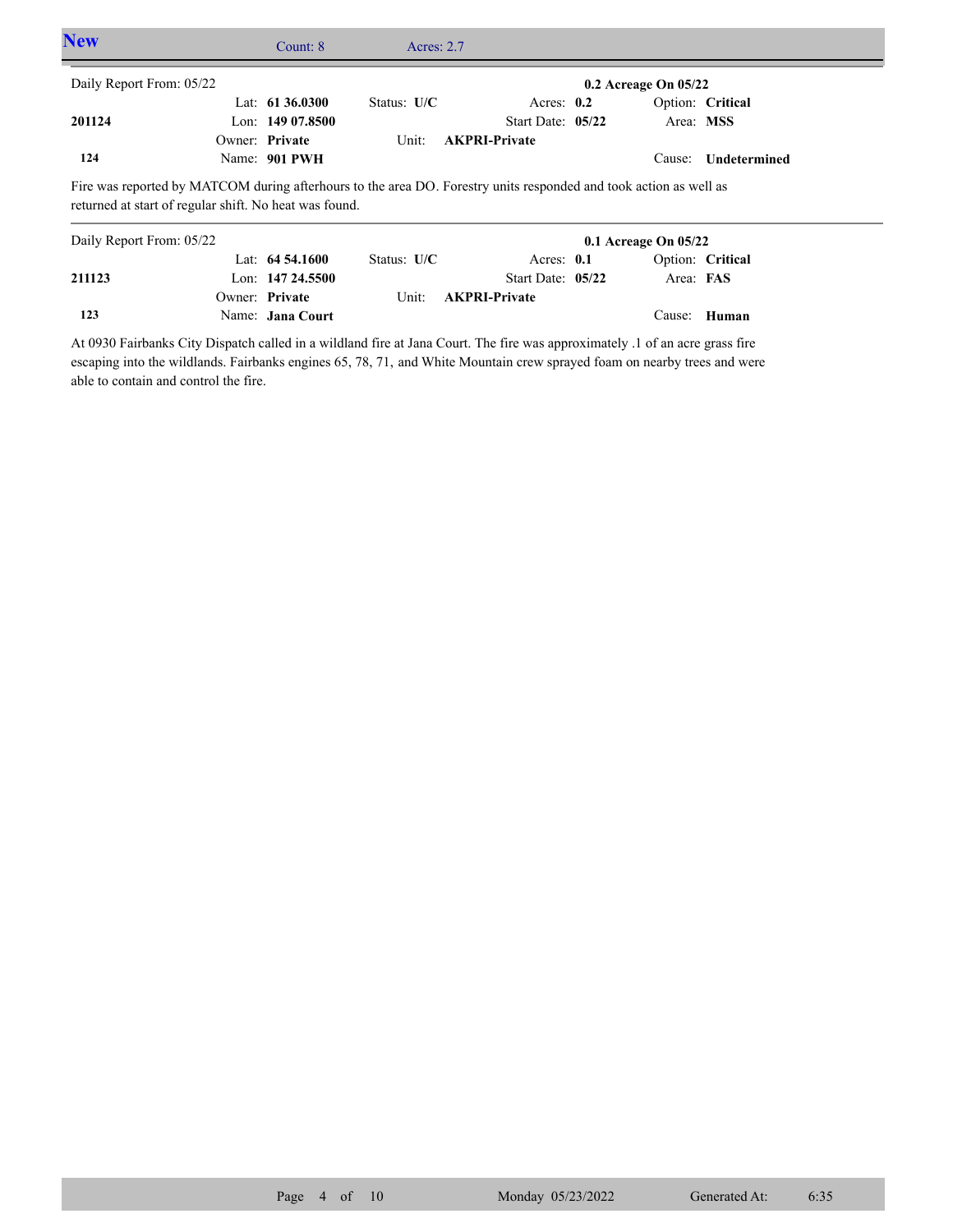| <b>New</b>                                                                                                                                                                  | Count: 8           | Acres: $2.7$  |                      |                          |                  |  |
|-----------------------------------------------------------------------------------------------------------------------------------------------------------------------------|--------------------|---------------|----------------------|--------------------------|------------------|--|
| Daily Report From: 05/22                                                                                                                                                    |                    |               |                      | $0.2$ Acreage On $05/22$ |                  |  |
|                                                                                                                                                                             | Lat: $61\,36.0300$ | Status: $U/C$ | Acres: $0.2$         |                          | Option: Critical |  |
| 201124                                                                                                                                                                      | Lon: $14907.8500$  |               | Start Date: 05/22    | Area: MSS                |                  |  |
|                                                                                                                                                                             | Owner: Private     | Unit:         | <b>AKPRI-Private</b> |                          |                  |  |
| 124                                                                                                                                                                         | Name: 901 PWH      |               |                      | Cause:                   | Undetermined     |  |
| Fire was reported by MATCOM during afterhours to the area DO. Forestry units responded and took action as well as<br>returned at start of regular shift. No heat was found. |                    |               |                      |                          |                  |  |
| Daily Report From: 05/22                                                                                                                                                    |                    |               |                      | $0.1$ Acreage On $05/22$ |                  |  |
|                                                                                                                                                                             | Lat: $64\,54.1600$ | Status: U/C   | Acres: $0.1$         |                          | Option: Critical |  |
| 211123                                                                                                                                                                      | Lon: $14724.5500$  |               | Start Date: $05/22$  | Area: FAS                |                  |  |

**Private AKPRI-Private**

At 0930 Fairbanks City Dispatch called in a wildland fire at Jana Court. The fire was approximately .1 of an acre grass fire escaping into the wildlands. Fairbanks engines 65, 78, 71, and White Mountain crew sprayed foam on nearby trees and were able to contain and control the fire.

Name: **Jana Court**

**123**

Owner: Private Unit:

Cause: **Human**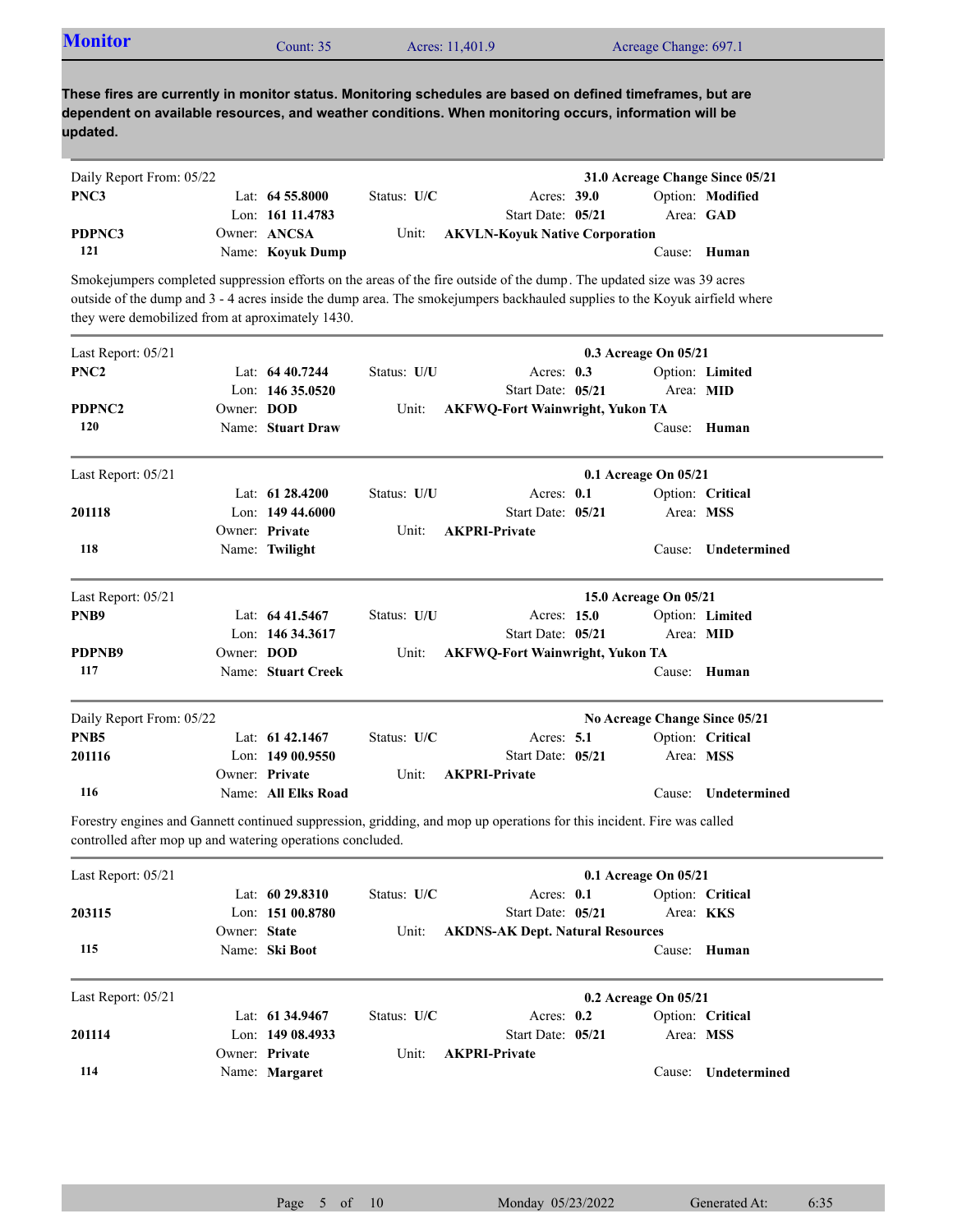| <b>Monitor</b><br>Acreage Change: 697.1<br>Acres: 11,401.9<br>Count: $352$ |
|----------------------------------------------------------------------------|
|----------------------------------------------------------------------------|

| Daily Report From: 05/22 |                    |               |                                       | 31.0 Acreage Change Since 05/21 |                  |
|--------------------------|--------------------|---------------|---------------------------------------|---------------------------------|------------------|
| PNC3                     | Lat: $64\,55.8000$ | Status: $U/C$ | Acres: 39.0                           |                                 | Option: Modified |
|                          | Lon: 161 11.4783   |               | Start Date: 05/21                     | Area: GAD                       |                  |
| PDPNC3                   | Owner: ANCSA       | Unit:         | <b>AKVLN-Kovuk Native Corporation</b> |                                 |                  |
| 121                      | Name: Koyuk Dump   |               |                                       | Cause: Human                    |                  |

Smokejumpers completed suppression efforts on the areas of the fire outside of the dump. The updated size was 39 acres outside of the dump and 3 - 4 acres inside the dump area. The smokejumpers backhauled supplies to the Koyuk airfield where they were demobilized from at aproximately 1430.

| Last Report: 05/21                                         |              |                     |             |                                                                                                                        | 0.3 Acreage On 05/21  |                               |
|------------------------------------------------------------|--------------|---------------------|-------------|------------------------------------------------------------------------------------------------------------------------|-----------------------|-------------------------------|
| PNC <sub>2</sub>                                           |              | Lat: $6440.7244$    | Status: U/U | Acres: $0.3$                                                                                                           |                       | Option: Limited               |
|                                                            |              | Lon: $14635.0520$   |             | Start Date: 05/21                                                                                                      | Area: MID             |                               |
| PDPNC2                                                     | Owner: DOD   |                     | Unit:       | <b>AKFWQ-Fort Wainwright, Yukon TA</b>                                                                                 |                       |                               |
| 120                                                        |              | Name: Stuart Draw   |             |                                                                                                                        | Cause:                | Human                         |
| Last Report: 05/21                                         |              |                     |             |                                                                                                                        | 0.1 Acreage On 05/21  |                               |
|                                                            |              | Lat: $61\,28.4200$  | Status: U/U | Acres: 0.1                                                                                                             |                       | Option: Critical              |
| 201118                                                     |              | Lon: 149 44,6000    |             | Start Date: 05/21                                                                                                      | Area: MSS             |                               |
|                                                            |              | Owner: Private      | Unit:       | <b>AKPRI-Private</b>                                                                                                   |                       |                               |
| 118                                                        |              | Name: Twilight      |             |                                                                                                                        | Cause:                | Undetermined                  |
| Last Report: 05/21                                         |              |                     |             |                                                                                                                        | 15.0 Acreage On 05/21 |                               |
| PNB <sub>9</sub>                                           |              | Lat: $6441.5467$    | Status: U/U | Acres: 15.0                                                                                                            |                       | Option: Limited               |
|                                                            |              | Lon: 146 34.3617    |             | Start Date: 05/21                                                                                                      | Area: MID             |                               |
| PDPNB9                                                     | Owner: DOD   |                     | Unit:       | <b>AKFWQ-Fort Wainwright, Yukon TA</b>                                                                                 |                       |                               |
| 117                                                        |              | Name: Stuart Creek  |             |                                                                                                                        | Cause:                | Human                         |
| Daily Report From: 05/22                                   |              |                     |             |                                                                                                                        |                       | No Acreage Change Since 05/21 |
| PNB <sub>5</sub>                                           |              | Lat: $61\,42.1467$  | Status: U/C | Acres: 5.1                                                                                                             |                       | Option: Critical              |
| 201116                                                     |              | Lon: 149 00.9550    |             | Start Date: 05/21                                                                                                      | Area: MSS             |                               |
|                                                            |              | Owner: Private      | Unit:       | <b>AKPRI-Private</b>                                                                                                   |                       |                               |
| 116                                                        |              | Name: All Elks Road |             |                                                                                                                        | Cause:                | Undetermined                  |
| controlled after mop up and watering operations concluded. |              |                     |             | Forestry engines and Gannett continued suppression, gridding, and mop up operations for this incident. Fire was called |                       |                               |
| Last Report: 05/21                                         |              |                     |             |                                                                                                                        | 0.1 Acreage On 05/21  |                               |
|                                                            |              | Lat: $6029.8310$    | Status: U/C | Acres: 0.1                                                                                                             |                       | Option: Critical              |
| 203115                                                     |              | Lon: 151 00.8780    |             | Start Date: 05/21                                                                                                      | Area: KKS             |                               |
|                                                            | Owner: State |                     | Unit:       | <b>AKDNS-AK Dept. Natural Resources</b>                                                                                |                       |                               |
| 115                                                        |              | Name: Ski Boot      |             |                                                                                                                        | Cause:                | Human                         |
| Last Report: 05/21                                         |              |                     |             |                                                                                                                        | 0.2 Acreage On 05/21  |                               |
|                                                            |              | Lat: 61 34.9467     | Status: U/C | Acres: $0.2$                                                                                                           |                       | Option: Critical              |
| 201114                                                     |              | Lon: 149 08.4933    |             | Start Date: 05/21                                                                                                      | Area: MSS             |                               |
|                                                            |              | Owner: Private      | Unit:       | <b>AKPRI-Private</b>                                                                                                   |                       |                               |
| 114                                                        |              | Name: Margaret      |             |                                                                                                                        | Cause:                | Undetermined                  |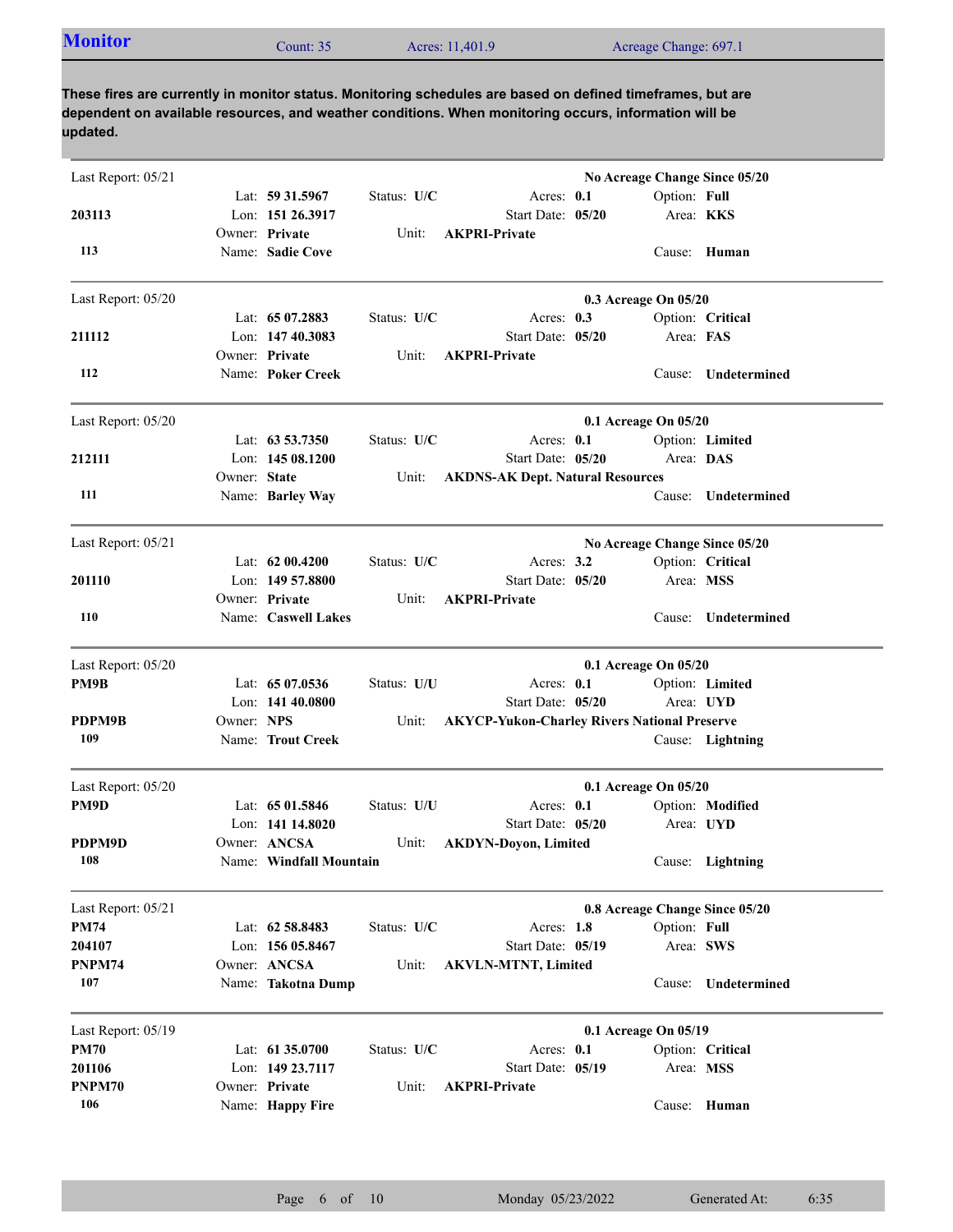| <b>Monitor</b> | Count: 35 | Acres: 11,401.9 | Acreage Change: 697.1 |  |
|----------------|-----------|-----------------|-----------------------|--|
|----------------|-----------|-----------------|-----------------------|--|

| Last Report: 05/21 |              |                         |             |                                                     |                      |                  | No Acreage Change Since 05/20  |
|--------------------|--------------|-------------------------|-------------|-----------------------------------------------------|----------------------|------------------|--------------------------------|
|                    |              | Lat: 59 31.5967         | Status: U/C | Acres: 0.1                                          |                      | Option: Full     |                                |
| 203113             |              | Lon: 151 26.3917        |             | Start Date: 05/20                                   |                      | Area: <b>KKS</b> |                                |
|                    |              | Owner: Private          | Unit:       | <b>AKPRI-Private</b>                                |                      |                  |                                |
| 113                |              | Name: Sadie Cove        |             |                                                     |                      |                  | Cause: Human                   |
| Last Report: 05/20 |              |                         |             |                                                     | 0.3 Acreage On 05/20 |                  |                                |
|                    |              | Lat: $6507.2883$        | Status: U/C | Acres: $0.3$                                        |                      |                  | Option: Critical               |
| 211112             |              | Lon: 147 40.3083        |             | Start Date: 05/20                                   |                      | Area: FAS        |                                |
|                    |              | Owner: Private          | Unit:       | <b>AKPRI-Private</b>                                |                      |                  |                                |
| 112                |              | Name: Poker Creek       |             |                                                     |                      | Cause:           | <b>Undetermined</b>            |
| Last Report: 05/20 |              |                         |             |                                                     | 0.1 Acreage On 05/20 |                  |                                |
|                    |              | Lat: 63 53.7350         | Status: U/C | Acres: 0.1                                          |                      |                  | Option: Limited                |
| 212111             |              | Lon: $14508.1200$       |             | Start Date: 05/20                                   |                      | Area: DAS        |                                |
|                    | Owner: State |                         | Unit:       | <b>AKDNS-AK Dept. Natural Resources</b>             |                      |                  |                                |
| 111                |              | Name: Barley Way        |             |                                                     |                      | Cause:           | Undetermined                   |
| Last Report: 05/21 |              |                         |             |                                                     |                      |                  | No Acreage Change Since 05/20  |
|                    |              | Lat: $6200.4200$        | Status: U/C | Acres: $3.2$                                        |                      |                  | Option: Critical               |
| 201110             |              | Lon: 149 57,8800        |             | Start Date: 05/20                                   |                      | Area: MSS        |                                |
|                    |              | Owner: Private          | Unit:       | <b>AKPRI-Private</b>                                |                      |                  |                                |
| 110                |              | Name: Caswell Lakes     |             |                                                     |                      | Cause:           | Undetermined                   |
| Last Report: 05/20 |              |                         |             |                                                     | 0.1 Acreage On 05/20 |                  |                                |
| PM9B               |              | Lat: 65 07.0536         | Status: U/U | Acres: 0.1                                          |                      |                  | Option: Limited                |
|                    |              | Lon: 141 40.0800        |             | Start Date: 05/20                                   |                      |                  | Area: UYD                      |
| PDPM9B             | Owner: NPS   |                         | Unit:       | <b>AKYCP-Yukon-Charley Rivers National Preserve</b> |                      |                  |                                |
| 109                |              | Name: Trout Creek       |             |                                                     |                      |                  | Cause: Lightning               |
| Last Report: 05/20 |              |                         |             |                                                     | 0.1 Acreage On 05/20 |                  |                                |
| PM9D               |              | Lat: $6501.5846$        | Status: U/U | Acres: $0.1$                                        |                      |                  | Option: Modified               |
|                    |              | Lon: 141 14.8020        |             | Start Date: 05/20                                   |                      |                  | Area: UYD                      |
| PDPM9D             |              | Owner: ANCSA            | Unit:       | <b>AKDYN-Doyon, Limited</b>                         |                      |                  |                                |
| 108                |              | Name: Windfall Mountain |             |                                                     |                      |                  | Cause: Lightning               |
| Last Report: 05/21 |              |                         |             |                                                     |                      |                  | 0.8 Acreage Change Since 05/20 |
| <b>PM74</b>        |              | Lat: 62 58.8483         | Status: U/C | Acres: 1.8                                          |                      | Option: Full     |                                |
| 204107             |              | Lon: 156 05.8467        |             | Start Date: 05/19                                   |                      | Area: SWS        |                                |
| PNPM74             |              | Owner: ANCSA            | Unit:       | <b>AKVLN-MTNT, Limited</b>                          |                      |                  |                                |
| 107                |              | Name: Takotna Dump      |             |                                                     |                      |                  | Cause: Undetermined            |
| Last Report: 05/19 |              |                         |             |                                                     | 0.1 Acreage On 05/19 |                  |                                |
| <b>PM70</b>        |              | Lat: 61 35.0700         | Status: U/C | Acres: 0.1                                          |                      |                  | Option: Critical               |
| 201106             |              | Lon: 149 23.7117        |             | Start Date: 05/19                                   |                      | Area: MSS        |                                |
| PNPM70             |              | Owner: Private          | Unit:       | <b>AKPRI-Private</b>                                |                      |                  |                                |
| 106                |              | Name: Happy Fire        |             |                                                     |                      |                  | Cause: Human                   |
|                    |              |                         |             |                                                     |                      |                  |                                |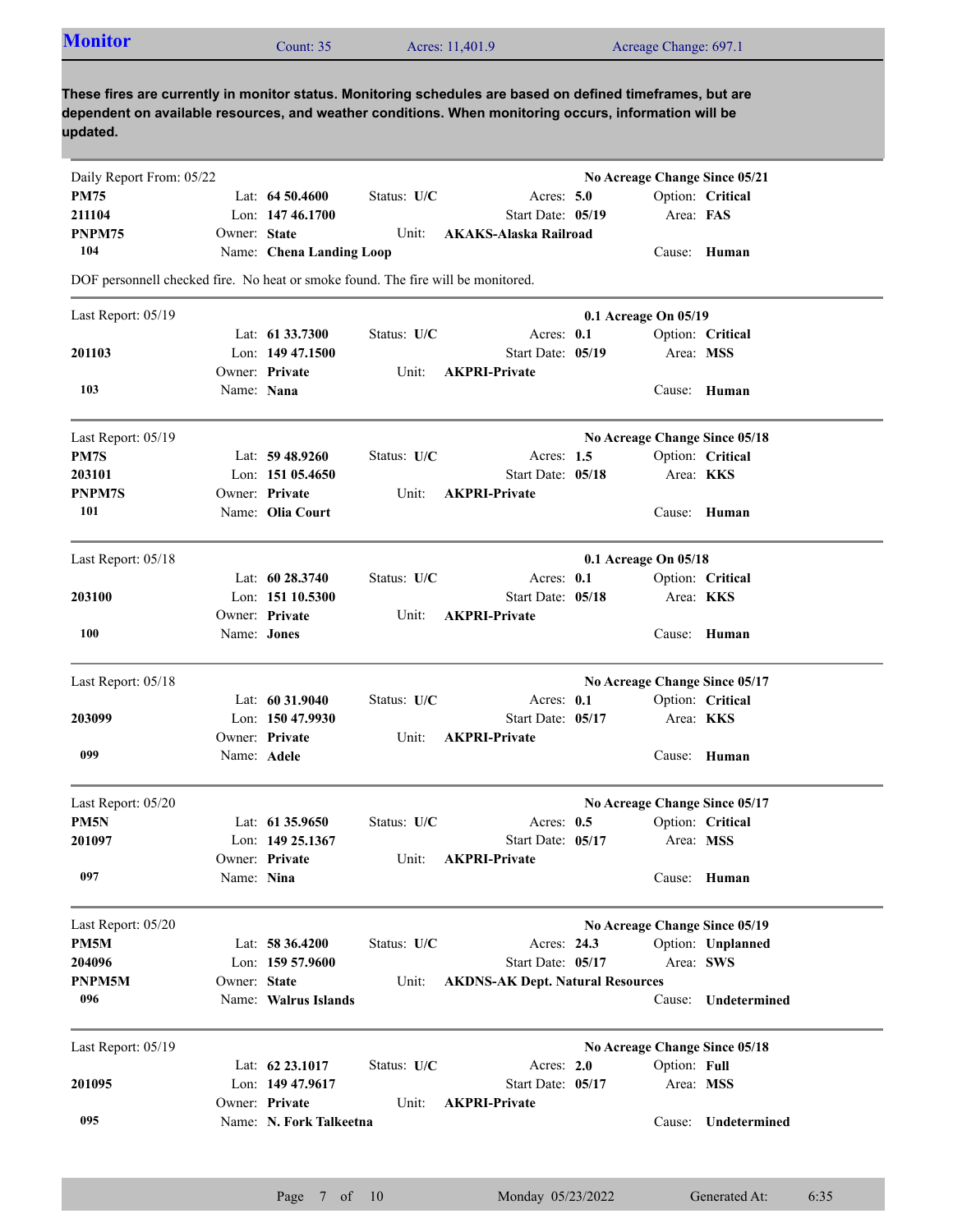| <b>Monitor</b> | Count: 35 | Acres: 11,401.9 | Acreage Change: 697.1 |
|----------------|-----------|-----------------|-----------------------|
|                |           |                 |                       |

| Daily Report From: 05/22                                                         |              |                          |             |                                         | No Acreage Change Since 05/21 |                  |                               |
|----------------------------------------------------------------------------------|--------------|--------------------------|-------------|-----------------------------------------|-------------------------------|------------------|-------------------------------|
| PM75                                                                             |              | Lat: $64\,50.4600$       | Status: U/C | Acres: $5.0$                            |                               |                  | Option: Critical              |
| 211104                                                                           |              | Lon: 147 46.1700         |             | Start Date: 05/19                       |                               | Area: FAS        |                               |
| PNPM75                                                                           | Owner: State |                          | Unit:       | AKAKS-Alaska Railroad                   |                               |                  |                               |
| 104                                                                              |              | Name: Chena Landing Loop |             |                                         |                               |                  | Cause: Human                  |
| DOF personnell checked fire. No heat or smoke found. The fire will be monitored. |              |                          |             |                                         |                               |                  |                               |
| Last Report: 05/19                                                               |              |                          |             |                                         | 0.1 Acreage On 05/19          |                  |                               |
|                                                                                  |              | Lat: 61 33.7300          | Status: U/C | Acres: $0.1$                            |                               |                  | Option: Critical              |
| 201103                                                                           |              | Lon: $14947.1500$        |             | Start Date: 05/19                       |                               | Area: MSS        |                               |
|                                                                                  |              | Owner: Private           | Unit:       | <b>AKPRI-Private</b>                    |                               |                  |                               |
| 103                                                                              | Name: Nana   |                          |             |                                         |                               |                  | Cause: Human                  |
| Last Report: 05/19                                                               |              |                          |             |                                         | No Acreage Change Since 05/18 |                  |                               |
| PM7S                                                                             |              | Lat: $59\,48.9260$       | Status: U/C | Acres: $1.5$                            |                               |                  | Option: Critical              |
| 203101                                                                           |              | Lon: $15105.4650$        |             | Start Date: 05/18                       |                               | Area: KKS        |                               |
| <b>PNPM7S</b>                                                                    |              | Owner: Private           | Unit:       | <b>AKPRI-Private</b>                    |                               |                  |                               |
| 101                                                                              |              | Name: Olia Court         |             |                                         |                               |                  | Cause: Human                  |
| Last Report: 05/18                                                               |              |                          |             |                                         | $0.1$ Acreage On $05/18$      |                  |                               |
|                                                                                  |              | Lat: 60 28.3740          | Status: U/C | Acres: 0.1                              |                               |                  | Option: Critical              |
| 203100                                                                           |              | Lon: 151 10.5300         |             | Start Date: 05/18                       |                               | Area: KKS        |                               |
|                                                                                  |              | Owner: Private           | Unit:       | <b>AKPRI-Private</b>                    |                               |                  |                               |
| 100                                                                              | Name: Jones  |                          |             |                                         |                               |                  | Cause: Human                  |
| Last Report: 05/18                                                               |              |                          |             |                                         |                               |                  | No Acreage Change Since 05/17 |
|                                                                                  |              | Lat: $60\,31.9040$       | Status: U/C | Acres: 0.1                              |                               |                  | Option: Critical              |
| 203099                                                                           |              | Lon: 150 47.9930         |             | Start Date: 05/17                       |                               | Area: <b>KKS</b> |                               |
|                                                                                  |              | Owner: Private           | Unit:       | <b>AKPRI-Private</b>                    |                               |                  |                               |
| 099                                                                              | Name: Adele  |                          |             |                                         |                               |                  | Cause: Human                  |
| Last Report: 05/20                                                               |              |                          |             |                                         | No Acreage Change Since 05/17 |                  |                               |
| PM5N                                                                             |              | Lat: 61 35.9650          | Status: U/C | Acres: $0.5$                            |                               |                  | Option: Critical              |
| 201097                                                                           |              | Lon: 149 25.1367         |             | Start Date: 05/17                       |                               | Area: MSS        |                               |
|                                                                                  |              | Owner: Private           | Unit:       | <b>AKPRI-Private</b>                    |                               |                  |                               |
| 097                                                                              | Name: Nina   |                          |             |                                         |                               |                  | Cause: Human                  |
| Last Report: 05/20                                                               |              |                          |             |                                         | No Acreage Change Since 05/19 |                  |                               |
| PM5M                                                                             |              | Lat: 58 36.4200          | Status: U/C | Acres: 24.3                             |                               |                  | Option: Unplanned             |
| 204096                                                                           |              | Lon: 159 57.9600         |             | Start Date: 05/17                       |                               | Area: SWS        |                               |
| PNPM5M                                                                           | Owner: State |                          | Unit:       | <b>AKDNS-AK Dept. Natural Resources</b> |                               |                  |                               |
| 096                                                                              |              | Name: Walrus Islands     |             |                                         |                               | Cause:           | Undetermined                  |
| Last Report: 05/19                                                               |              |                          |             |                                         | No Acreage Change Since 05/18 |                  |                               |
|                                                                                  |              | Lat: 62 23.1017          | Status: U/C | Acres: 2.0                              |                               | Option: Full     |                               |
| 201095                                                                           |              | Lon: 149 47.9617         |             | Start Date: 05/17                       |                               |                  | Area: MSS                     |
|                                                                                  |              | Owner: Private           | Unit:       | <b>AKPRI-Private</b>                    |                               |                  |                               |
| 095                                                                              |              | Name: N. Fork Talkeetna  |             |                                         |                               | Cause:           | Undetermined                  |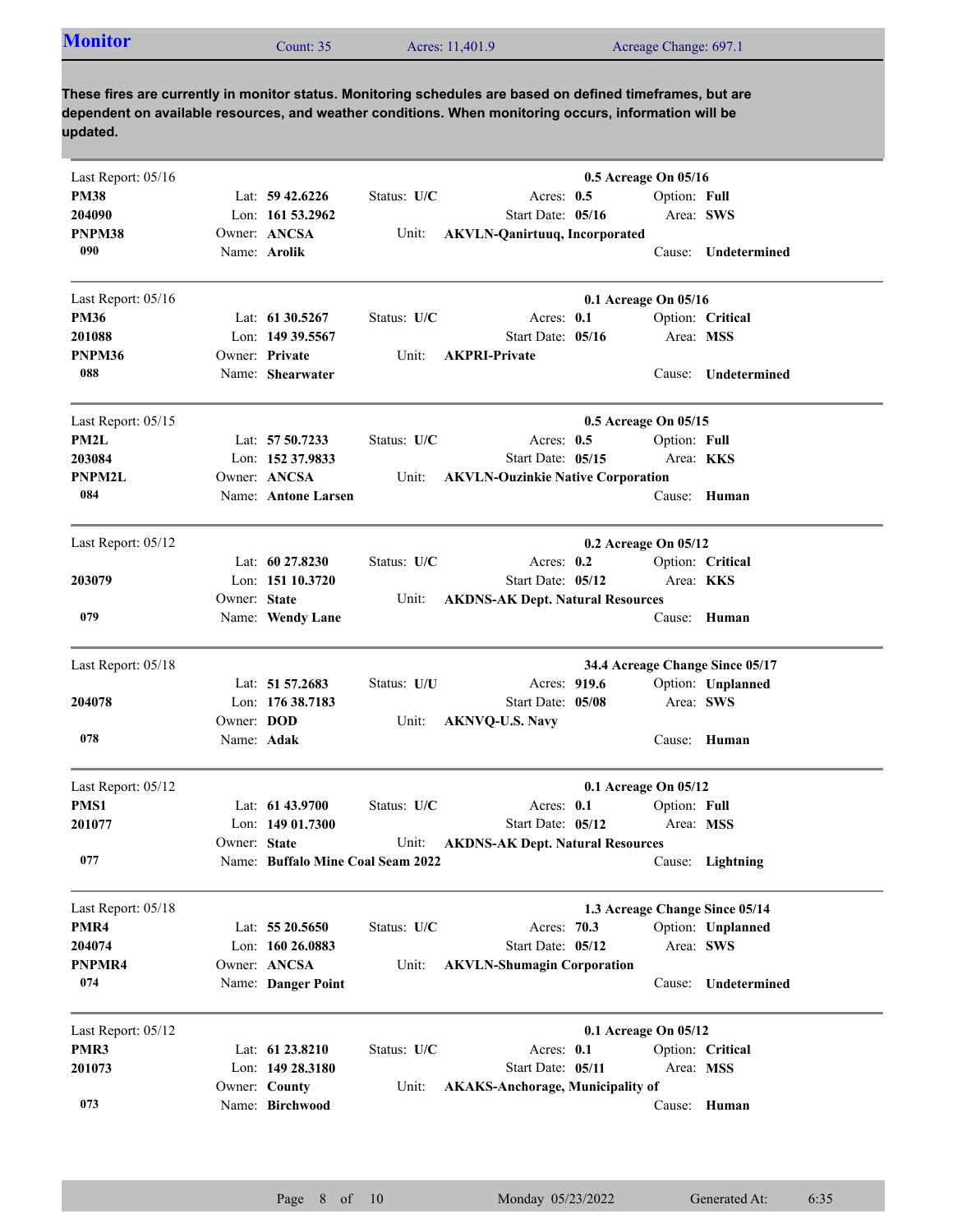| <b>Monitor</b><br>Acreage Change: 697.1<br>Acres: 11,401.9<br>Count: $352$ |  |  |  |  |
|----------------------------------------------------------------------------|--|--|--|--|
|----------------------------------------------------------------------------|--|--|--|--|

| Last Report: 05/16 |              |                                   |             |                                          | 0.5 Acreage On 05/16 |                  |                                 |
|--------------------|--------------|-----------------------------------|-------------|------------------------------------------|----------------------|------------------|---------------------------------|
| <b>PM38</b>        |              | Lat: $59\,42.6226$                | Status: U/C | Acres: $0.5$                             |                      | Option: Full     |                                 |
| 204090             |              | Lon: $161\,53.2962$               |             | Start Date: 05/16                        |                      | Area: SWS        |                                 |
| PNPM38             |              | Owner: ANCSA                      | Unit:       | <b>AKVLN-Qanirtuuq, Incorporated</b>     |                      |                  |                                 |
| 090                |              | Name: Arolik                      |             |                                          |                      |                  | Cause: Undetermined             |
| Last Report: 05/16 |              |                                   |             |                                          | 0.1 Acreage On 05/16 |                  |                                 |
| <b>PM36</b>        |              | Lat: $61\,30.5267$                | Status: U/C | Acres: $0.1$                             |                      |                  | Option: Critical                |
| 201088             |              | Lon: 149 39.5567                  |             | Start Date: 05/16                        |                      | Area: MSS        |                                 |
| PNPM36             |              | Owner: Private                    | Unit:       | <b>AKPRI-Private</b>                     |                      |                  |                                 |
| 088                |              | Name: Shearwater                  |             |                                          |                      |                  | Cause: Undetermined             |
| Last Report: 05/15 |              |                                   |             |                                          | 0.5 Acreage On 05/15 |                  |                                 |
| PM2L               |              | Lat: 57 50.7233                   | Status: U/C | Acres: $0.5$                             |                      | Option: Full     |                                 |
| 203084             |              | Lon: 152 37.9833                  |             | Start Date: 05/15                        |                      | Area: <b>KKS</b> |                                 |
| PNPM2L             |              | Owner: ANCSA                      | Unit:       | <b>AKVLN-Ouzinkie Native Corporation</b> |                      |                  |                                 |
| 084                |              | Name: Antone Larsen               |             |                                          |                      |                  | Cause: Human                    |
| Last Report: 05/12 |              |                                   |             |                                          | 0.2 Acreage On 05/12 |                  |                                 |
|                    |              | Lat: $60\,27.8230$                | Status: U/C | Acres: $0.2$                             |                      |                  | Option: Critical                |
| 203079             |              | Lon: 151 10.3720                  |             | Start Date: 05/12                        |                      | Area: KKS        |                                 |
|                    | Owner: State |                                   | Unit:       | <b>AKDNS-AK Dept. Natural Resources</b>  |                      |                  |                                 |
| 079                |              | Name: Wendy Lane                  |             |                                          |                      | Cause:           | Human                           |
| Last Report: 05/18 |              |                                   |             |                                          |                      |                  | 34.4 Acreage Change Since 05/17 |
|                    |              | Lat: 51 57.2683                   | Status: U/U | Acres: 919.6                             |                      |                  | Option: Unplanned               |
| 204078             |              | Lon: 176 38.7183                  |             | Start Date: 05/08                        |                      | Area: SWS        |                                 |
|                    | Owner: DOD   |                                   | Unit:       | <b>AKNVQ-U.S. Navy</b>                   |                      |                  |                                 |
| 078                | Name: Adak   |                                   |             |                                          |                      |                  | Cause: Human                    |
| Last Report: 05/12 |              |                                   |             |                                          | 0.1 Acreage On 05/12 |                  |                                 |
| PMS1               |              | Lat: $61\,43.9700$                | Status: U/C | Acres: $0.1$                             |                      | Option: Full     |                                 |
| 201077             |              | Lon: $14901.7300$                 |             | Start Date: 05/12                        |                      | Area: MSS        |                                 |
|                    | Owner: State |                                   | Unit:       | <b>AKDNS-AK Dept. Natural Resources</b>  |                      |                  |                                 |
| 077                |              | Name: Buffalo Mine Coal Seam 2022 |             |                                          |                      |                  | Cause: Lightning                |
| Last Report: 05/18 |              |                                   |             |                                          |                      |                  | 1.3 Acreage Change Since 05/14  |
| PMR4               |              | Lat: 55 20.5650                   | Status: U/C | Acres: 70.3                              |                      |                  | Option: Unplanned               |
| 204074             |              | Lon: 160 26.0883                  |             | Start Date: 05/12                        |                      | Area: SWS        |                                 |
| PNPMR4             |              | Owner: ANCSA                      | Unit:       | <b>AKVLN-Shumagin Corporation</b>        |                      |                  |                                 |
| 074                |              | Name: Danger Point                |             |                                          |                      | Cause:           | Undetermined                    |
| Last Report: 05/12 |              |                                   |             |                                          | 0.1 Acreage On 05/12 |                  |                                 |
| PMR3               |              | Lat: 61 23.8210                   | Status: U/C | Acres: 0.1                               |                      |                  | Option: Critical                |
| 201073             |              | Lon: 149 28.3180                  |             | Start Date: 05/11                        |                      | Area: MSS        |                                 |
|                    |              | Owner: County                     | Unit:       | <b>AKAKS-Anchorage, Municipality of</b>  |                      |                  |                                 |
| 073                |              | Name: Birchwood                   |             |                                          |                      |                  | Cause: Human                    |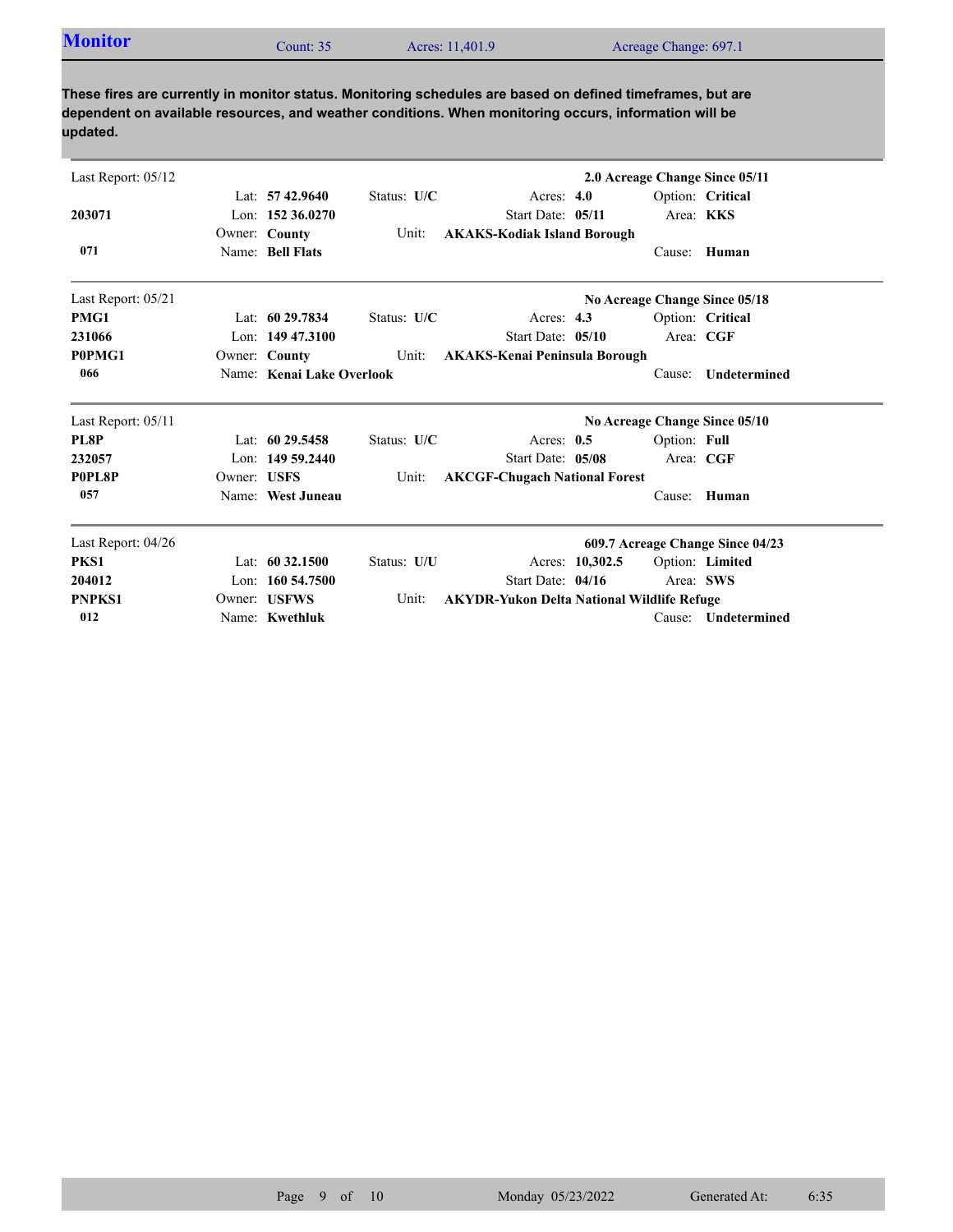| Last Report: 05/12 |             |                           |             |                                                   |                 |              | 2.0 Acreage Change Since 05/11   |
|--------------------|-------------|---------------------------|-------------|---------------------------------------------------|-----------------|--------------|----------------------------------|
|                    |             | Lat: $57\,42.9640$        | Status: U/C | Acres: $4.0$                                      |                 |              | Option: Critical                 |
| 203071             |             | Lon: $152\,36.0270$       |             | Start Date: 05/11                                 |                 |              | Area: KKS                        |
|                    |             | Owner: County             | Unit:       | <b>AKAKS-Kodiak Island Borough</b>                |                 |              |                                  |
| 071                |             | Name: Bell Flats          |             |                                                   |                 | Cause:       | Human                            |
| Last Report: 05/21 |             |                           |             |                                                   |                 |              | No Acreage Change Since 05/18    |
| PMG1               |             | Lat: $6029.7834$          | Status: U/C | Acres: $4.3$                                      |                 |              | Option: Critical                 |
| 231066             |             | Lon: $14947.3100$         |             | Start Date: 05/10                                 |                 |              | Area: CGF                        |
| P0PMG1             |             | Owner: County             | Unit:       | <b>AKAKS-Kenai Peninsula Borough</b>              |                 |              |                                  |
| 066                |             | Name: Kenai Lake Overlook |             |                                                   |                 | Cause:       | Undetermined                     |
| Last Report: 05/11 |             |                           |             |                                                   |                 |              | No Acreage Change Since 05/10    |
| PL8P               |             | Lat: $6029.5458$          | Status: U/C | Acres: $0.5$                                      |                 | Option: Full |                                  |
| 232057             |             | Lon: $14959.2440$         |             | Start Date: 05/08                                 |                 |              | Area: CGF                        |
| P0PL8P             | Owner: USFS |                           | Unit:       | <b>AKCGF-Chugach National Forest</b>              |                 |              |                                  |
| 057                |             | Name: West Juneau         |             |                                                   |                 | Cause:       | Human                            |
| Last Report: 04/26 |             |                           |             |                                                   |                 |              | 609.7 Acreage Change Since 04/23 |
| PKS1               |             | Lat: $60\,32.1500$        | Status: U/U |                                                   | Acres: 10,302.5 |              | Option: Limited                  |
| 204012             |             | Lon: 160 54.7500          |             | Start Date: 04/16                                 |                 |              | Area: SWS                        |
| <b>PNPKS1</b>      |             | Owner: USFWS              | Unit:       | <b>AKYDR-Yukon Delta National Wildlife Refuge</b> |                 |              |                                  |
| 012                |             | Name: Kwethluk            |             |                                                   |                 | Cause:       | <b>Undetermined</b>              |